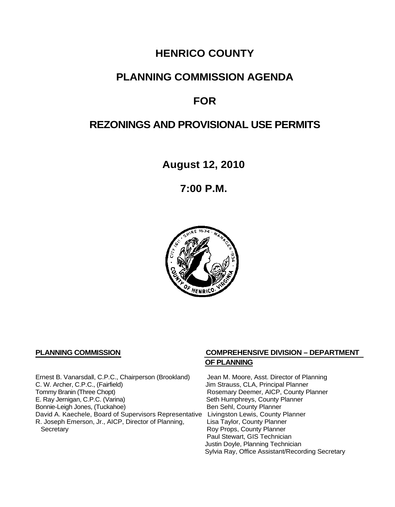# **HENRICO COUNTY**

# **PLANNING COMMISSION AGENDA**

# **FOR**

# **REZONINGS AND PROVISIONAL USE PERMITS**

**August 12, 2010**

**7:00 P.M.**



Ernest B. Vanarsdall, C.P.C., Chairperson (Brookland) Jean M. Moore, Asst. Director of Planning<br>C. W. Archer, C.P.C., (Fairfield) Jim Strauss, CLA, Principal Planner C. W. Archer, C.P.C., (Fairfield) (G. W. Archer, C.P.C., (Fairfield) (G. W. Archer, C.P.C., County P<br>
Tommy Branin (Three Chopt) (G. G. Branin W. Branin W. Rosemary Deemer, AICP, County P E. Ray Jernigan, C.P.C. (Varina) Seth Humphreys, County Planner<br>
Bonnie-Leigh Jones, (Tuckahoe) Sen Sehl, County Planner Bonnie-Leigh Jones, (Tuckahoe) David A. Kaechele, Board of Supervisors Representative Livingston Lewis, County Planner<br>R. Joseph Emerson, Jr., AICP, Director of Planning, Lisa Taylor, County Planner R. Joseph Emerson, Jr., AICP, Director of Planning, Secretary

# **PLANNING COMMISSION COMPREHENSIVE DIVISION – DEPARTMENT OF PLANNING**

Rosemary Deemer, AICP, County Planner Roy Props, County Planner Paul Stewart, GIS Technician Justin Doyle, Planning Technician Sylvia Ray, Office Assistant/Recording Secretary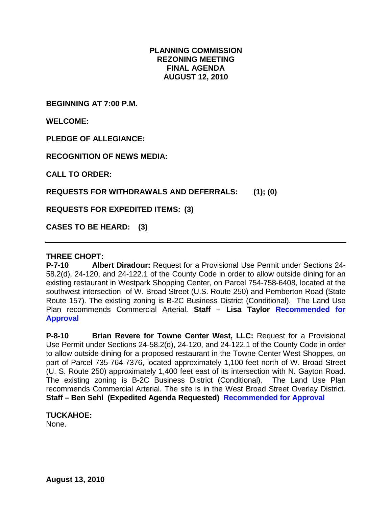# **PLANNING COMMISSION REZONING MEETING FINAL AGENDA AUGUST 12, 2010**

**BEGINNING AT 7:00 P.M.**

**WELCOME:**

**PLEDGE OF ALLEGIANCE:**

**RECOGNITION OF NEWS MEDIA:**

**CALL TO ORDER:**

**REQUESTS FOR WITHDRAWALS AND DEFERRALS: (1); (0)**

**REQUESTS FOR EXPEDITED ITEMS: (3)**

**CASES TO BE HEARD: (3)**

## **THREE CHOPT:**

**P-7-10 Albert Diradour:** Request for a Provisional Use Permit under Sections 24- 58.2(d), 24-120, and 24-122.1 of the County Code in order to allow outside dining for an existing restaurant in Westpark Shopping Center, on Parcel 754-758-6408, located at the southwest intersection of W. Broad Street (U.S. Route 250) and Pemberton Road (State Route 157). The existing zoning is B-2C Business District (Conditional). The Land Use Plan recommends Commercial Arterial. **Staff – Lisa Taylor Recommended for Approval**

**P-8-10 Brian Revere for Towne Center West, LLC:** Request for a Provisional Use Permit under Sections 24-58.2(d), 24-120, and 24-122.1 of the County Code in order to allow outside dining for a proposed restaurant in the Towne Center West Shoppes, on part of Parcel 735-764-7376, located approximately 1,100 feet north of W. Broad Street (U. S. Route 250) approximately 1,400 feet east of its intersection with N. Gayton Road. The existing zoning is B-2C Business District (Conditional). The Land Use Plan recommends Commercial Arterial. The site is in the West Broad Street Overlay District. **Staff – Ben Sehl (Expedited Agenda Requested) Recommended for Approval**

### **TUCKAHOE:** None.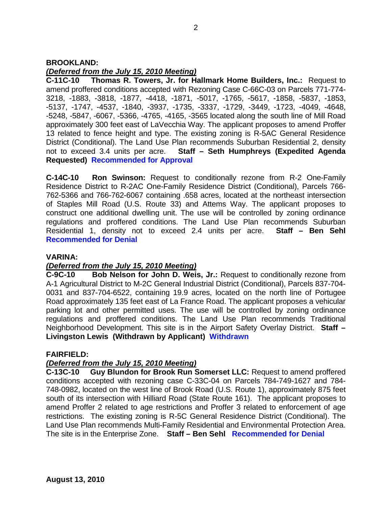## **BROOKLAND:**

# *(Deferred from the July 15, 2010 Meeting)*

**C-11C-10 Thomas R. Towers, Jr. for Hallmark Home Builders, Inc.:** Request to amend proffered conditions accepted with Rezoning Case C-66C-03 on Parcels 771-774- 3218, -1883, -3818, -1877, -4418, -1871, -5017, -1765, -5617, -1858, -5837, -1853, -5137, -1747, -4537, -1840, -3937, -1735, -3337, -1729, -3449, -1723, -4049, -4648, -5248, -5847, -6067, -5366, -4765, -4165, -3565 located along the south line of Mill Road approximately 300 feet east of LaVecchia Way. The applicant proposes to amend Proffer 13 related to fence height and type. The existing zoning is R-5AC General Residence District (Conditional). The Land Use Plan recommends Suburban Residential 2, density not to exceed 3.4 units per acre. **Staff – Seth Humphreys (Expedited Agenda Requested) Recommended for Approval**

**C-14C-10 Ron Swinson:** Request to conditionally rezone from R-2 One-Family Residence District to R-2AC One-Family Residence District (Conditional), Parcels 766- 762-5366 and 766-762-6067 containing .658 acres, located at the northeast intersection of Staples Mill Road (U.S. Route 33) and Attems Way. The applicant proposes to construct one additional dwelling unit. The use will be controlled by zoning ordinance regulations and proffered conditions. The Land Use Plan recommends Suburban Residential 1, density not to exceed 2.4 units per acre. **Staff – Ben Sehl Recommended for Denial**

## **VARINA:**

# *(Deferred from the July 15, 2010 Meeting)*

**C-9C-10 Bob Nelson for John D. Weis, Jr.:** Request to conditionally rezone from A-1 Agricultural District to M-2C General Industrial District (Conditional), Parcels 837-704- 0031 and 837-704-6522, containing 19.9 acres, located on the north line of Portugee Road approximately 135 feet east of La France Road. The applicant proposes a vehicular parking lot and other permitted uses. The use will be controlled by zoning ordinance regulations and proffered conditions. The Land Use Plan recommends Traditional Neighborhood Development. This site is in the Airport Safety Overlay District. **Staff – Livingston Lewis (Withdrawn by Applicant) Withdrawn**

## **FAIRFIELD:**

# *(Deferred from the July 15, 2010 Meeting)*

**C-13C-10 Guy Blundon for Brook Run Somerset LLC:** Request to amend proffered conditions accepted with rezoning case C-33C-04 on Parcels 784-749-1627 and 784- 748-0982, located on the west line of Brook Road (U.S. Route 1), approximately 875 feet south of its intersection with Hilliard Road (State Route 161). The applicant proposes to amend Proffer 2 related to age restrictions and Proffer 3 related to enforcement of age restrictions. The existing zoning is R-5C General Residence District (Conditional). The Land Use Plan recommends Multi-Family Residential and Environmental Protection Area. The site is in the Enterprise Zone. **Staff – Ben Sehl Recommended for Denial**